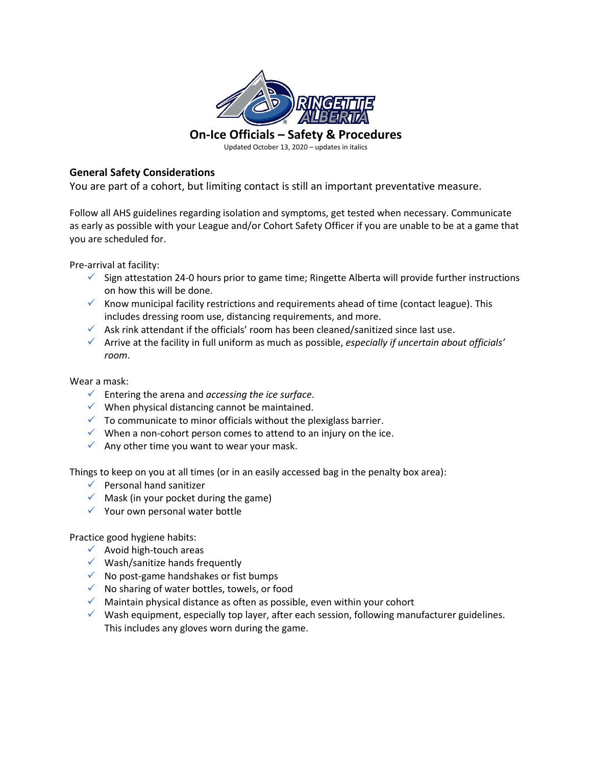

Updated October 13, 2020 – updates in italics

## **General Safety Considerations**

You are part of a cohort, but limiting contact is still an important preventative measure.

Follow all AHS guidelines regarding isolation and symptoms, get tested when necessary. Communicate as early as possible with your League and/or Cohort Safety Officer if you are unable to be at a game that you are scheduled for.

Pre-arrival at facility:

- $\checkmark$  Sign attestation 24-0 hours prior to game time; Ringette Alberta will provide further instructions on how this will be done.
- $\checkmark$  Know municipal facility restrictions and requirements ahead of time (contact league). This includes dressing room use, distancing requirements, and more.
- $\checkmark$  Ask rink attendant if the officials' room has been cleaned/sanitized since last use.
- ✓ Arrive at the facility in full uniform as much as possible, *especially if uncertain about officials' room*.

## Wear a mask:

- ✓ Entering the arena and *accessing the ice surface*.
- $\checkmark$  When physical distancing cannot be maintained.
- $\checkmark$  To communicate to minor officials without the plexiglass barrier.
- $\checkmark$  When a non-cohort person comes to attend to an injury on the ice.
- $\checkmark$  Any other time you want to wear your mask.

Things to keep on you at all times (or in an easily accessed bag in the penalty box area):

- $\checkmark$  Personal hand sanitizer
- $\checkmark$  Mask (in your pocket during the game)
- $\checkmark$  Your own personal water bottle

Practice good hygiene habits:

- $\checkmark$  Avoid high-touch areas
- $\checkmark$  Wash/sanitize hands frequently
- $\checkmark$  No post-game handshakes or fist bumps
- ✓ No sharing of water bottles, towels, or food
- $\checkmark$  Maintain physical distance as often as possible, even within your cohort
- $\checkmark$  Wash equipment, especially top layer, after each session, following manufacturer guidelines. This includes any gloves worn during the game.